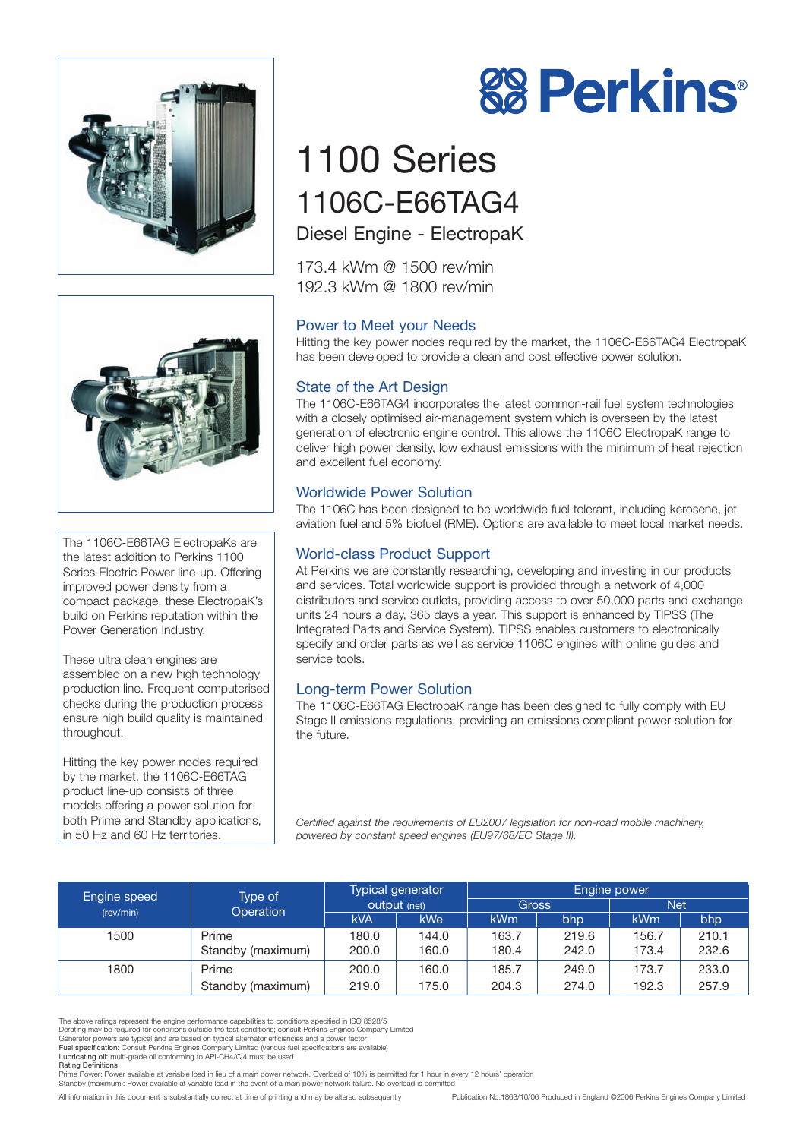



The 1106C-E66TAG ElectropaKs are the latest addition to Perkins 1100 Series Electric Power line-up. Offering improved power density from a compact package, these ElectropaK's build on Perkins reputation within the Power Generation Industry.

These ultra clean engines are assembled on a new high technology production line. Frequent computerised checks during the production process ensure high build quality is maintained throughout.

Hitting the key power nodes required by the market, the 1106C-E66TAG product line-up consists of three models offering a power solution for both Prime and Standby applications, in 50 Hz and 60 Hz territories.



# 1100 Series 1106C-E66TAG4 Diesel Engine - ElectropaK

173.4 kWm @ 1500 rev/min 192.3 kWm @ 1800 rev/min

# Power to Meet your Needs

Hitting the key power nodes required by the market, the 1106C-E66TAG4 ElectropaK has been developed to provide a clean and cost effective power solution.

# State of the Art Design

The 1106C-E66TAG4 incorporates the latest common-rail fuel system technologies with a closely optimised air-management system which is overseen by the latest generation of electronic engine control. This allows the 1106C ElectropaK range to deliver high power density, low exhaust emissions with the minimum of heat rejection and excellent fuel economy.

# Worldwide Power Solution

The 1106C has been designed to be worldwide fuel tolerant, including kerosene, jet aviation fuel and 5% biofuel (RME). Options are available to meet local market needs.

# World-class Product Support

At Perkins we are constantly researching, developing and investing in our products and services. Total worldwide support is provided through a network of 4,000 distributors and service outlets, providing access to over 50,000 parts and exchange units 24 hours a day, 365 days a year. This support is enhanced by TIPSS (The Integrated Parts and Service System). TIPSS enables customers to electronically specify and order parts as well as service 1106C engines with online guides and service tools.

# Long-term Power Solution

The 1106C-E66TAG ElectropaK range has been designed to fully comply with EU Stage II emissions regulations, providing an emissions compliant power solution for the future.

*Certified against the requirements of EU2007 legislation for non-road mobile machinery, powered by constant speed engines (EU97/68/EC Stage II).*

| Engine speed | Type of<br>Operation | Typical generator<br><b>output</b> (net) |       | Engine power |       |            |       |
|--------------|----------------------|------------------------------------------|-------|--------------|-------|------------|-------|
| (rev/min)    |                      |                                          |       | <b>Gross</b> |       | <b>Net</b> |       |
|              |                      | <b>kVA</b>                               | kWe   | <b>kWm</b>   | bhp   | <b>kWm</b> | bhp   |
| 1500         | Prime                | 180.0                                    | 144.0 | 163.7        | 219.6 | 156.7      | 210.1 |
|              | Standby (maximum)    | 200.0                                    | 160.0 | 180.4        | 242.0 | 173.4      | 232.6 |
| 1800         | Prime                | 200.0                                    | 160.0 | 185.7        | 249.0 | 173.7      | 233.0 |
|              | Standby (maximum)    | 219.0                                    | 175.0 | 204.3        | 274.0 | 192.3      | 257.9 |

The above ratings represent the engine performance capabilities to conditions specified in ISO 8528/5 Derating may be required for conditions outside the test conditions; consult Perkins Engines Company Limited

Rating Definitions

Prime Power: Power available at variable load in lieu of a main power network. Overload of 10% is permitted for 1 hour in every 12 hours' operation

Standby (maximum): Power available at variable load in the event of a main power network failure. No overload is permitted

All information in this document is substantially correct at time of printing and may be altered subsequently Publication No.1863/10/06 Produced in England ©2006 Perkins Engines Company Limited

Generator powers are typical and are based on typical alternator efficiencies and a power factor<br>Fuel specification: Consult Perkins Engines Company Limited (various fuel specifications are available)<br>Lubricating oil: mult